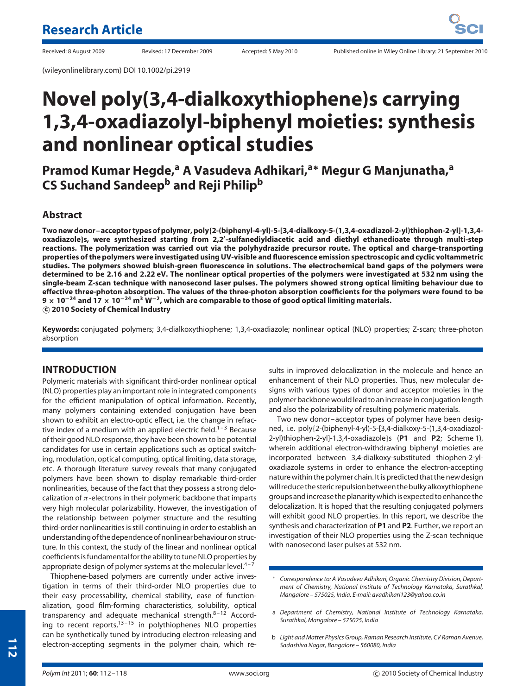(wileyonlinelibrary.com) DOI 10.1002/pi.2919

# **Novel poly(3,4-dialkoxythiophene)s carrying 1,3,4-oxadiazolyl-biphenyl moieties: synthesis and nonlinear optical studies**

**Pramod Kumar Hegde,<sup>a</sup> A Vasudeva Adhikari,a<sup>∗</sup> Megur G Manjunatha,<sup>a</sup> CS Suchand Sandeepb and Reji Philip<sup>b</sup>**

# **Abstract**

**Two new donor–acceptor types of polymer, poly{2-(biphenyl-4-yl)-5-[3,4-dialkoxy-5-(1,3,4-oxadiazol-2-yl)thiophen-2-yl]-1,3,4 oxadiazole}s, were synthesized starting from 2,2- -sulfanediyldiacetic acid and diethyl ethanedioate through multi-step reactions. The polymerization was carried out via the polyhydrazide precursor route. The optical and charge-transporting properties of the polymers were investigated using UV-visible and fluorescence emission spectroscopic and cyclic voltammetric studies. The polymers showed bluish-green fluorescence in solutions. The electrochemical band gaps of the polymers were determined to be 2.16 and 2.22 eV. The nonlinear optical properties of the polymers were investigated at 532 nm using the single-beam Z-scan technique with nanosecond laser pulses. The polymers showed strong optical limiting behaviour due to effective three-photon absorption. The values of the three-photon absorption coefficients for the polymers were found to be 9 × 10−<sup>24</sup> and 17 × 10−<sup>24</sup> m<sup>3</sup> W<sup>−</sup>2, which are comparable to those of good optical limiting materials. c 2010 Society of Chemical Industry**

**Keywords:** conjugated polymers; 3,4-dialkoxythiophene; 1,3,4-oxadiazole; nonlinear optical (NLO) properties; Z-scan; three-photon absorption

# **INTRODUCTION**

Polymeric materials with significant third-order nonlinear optical (NLO) properties play an important role in integrated components for the efficient manipulation of optical information. Recently, many polymers containing extended conjugation have been shown to exhibit an electro-optic effect, i.e. the change in refractive index of a medium with an applied electric field.<sup>1-3</sup> Because of their good NLO response, they have been shown to be potential candidates for use in certain applications such as optical switching, modulation, optical computing, optical limiting, data storage, etc. A thorough literature survey reveals that many conjugated polymers have been shown to display remarkable third-order nonlinearities, because of the fact that they possess a strong delocalization of *π*-electrons in their polymeric backbone that imparts very high molecular polarizability. However, the investigation of the relationship between polymer structure and the resulting third-order nonlinearities is still continuing in order to establish an understanding of the dependence of nonlinear behaviour on structure. In this context, the study of the linear and nonlinear optical coefficients isfundamentalfor the ability to tune NLO properties by appropriate design of polymer systems at the molecular level. $4-7$ 

Thiophene-based polymers are currently under active investigation in terms of their third-order NLO properties due to their easy processability, chemical stability, ease of functionalization, good film-forming characteristics, solubility, optical transparency and adequate mechanical strength. $8-12$  According to recent reports, $13 - 15$  in polythiophenes NLO properties can be synthetically tuned by introducing electron-releasing and electron-accepting segments in the polymer chain, which results in improved delocalization in the molecule and hence an enhancement of their NLO properties. Thus, new molecular designs with various types of donor and acceptor moieties in the polymer backbone would lead to an increase in conjugation length and also the polarizability of resulting polymeric materials.

Two new donor–acceptor types of polymer have been designed, i.e. poly{2-(biphenyl-4-yl)-5-[3,4-dialkoxy-5-(1,3,4-oxadiazol-2-yl)thiophen-2-yl]-1,3,4-oxadiazole}s (**P1** and **P2**; Scheme 1), wherein additional electron-withdrawing biphenyl moieties are incorporated between 3,4-dialkoxy-substituted thiophen-2-yloxadiazole systems in order to enhance the electron-accepting nature within the polymer chain. It is predicted that the new design will reduce the steric repulsion between the bulkyalkoxythiophene groupsand increase the planaritywhich is expected to enhance the delocalization. It is hoped that the resulting conjugated polymers will exhibit good NLO properties. In this report, we describe the synthesis and characterization of **P1** and **P2**. Further, we report an investigation of their NLO properties using the Z-scan technique with nanosecond laser pulses at 532 nm.

<sup>∗</sup> *Correspondence to: A Vasudeva Adhikari, Organic Chemistry Division, Department of Chemistry, National Institute of Technology Karnataka, Surathkal, Mangalore – 575025, India. E-mail: avadhikari123@yahoo.co.in*

a *Department of Chemistry, National Institute of Technology Karnataka, Surathkal, Mangalore – 575025, India*

b *Light and Matter Physics Group, Raman Research Institute, CV Raman Avenue, Sadashiva Nagar, Bangalore – 560080, India*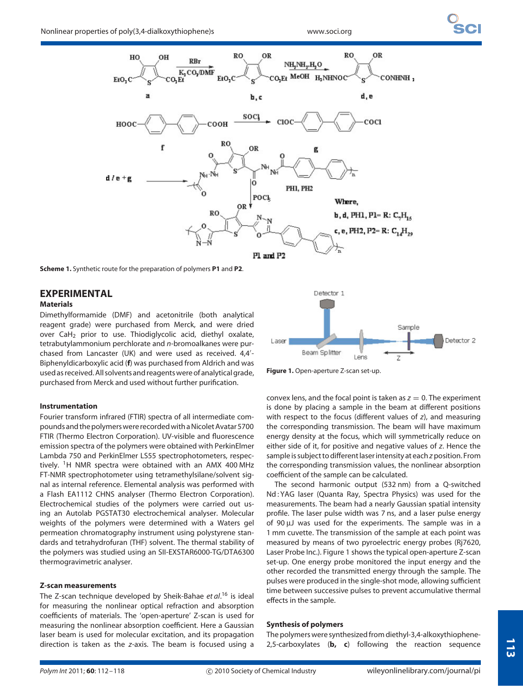

**Scheme 1.** Synthetic route for the preparation of polymers **P1** and **P2**.

# **EXPERIMENTAL**

# **Materials**

Dimethylformamide (DMF) and acetonitrile (both analytical reagent grade) were purchased from Merck, and were dried over CaH<sub>2</sub> prior to use. Thiodiglycolic acid, diethyl oxalate, tetrabutylammonium perchlorate and *n*-bromoalkanes were purchased from Lancaster (UK) and were used as received. 4,4 - Biphenyldicarboxylic acid (**f**) was purchased from Aldrich and was used as received. All solvents and reagents were of analytical grade, purchased from Merck and used without further purification.

### **Instrumentation**

Fourier transform infrared (FTIR) spectra of all intermediate compoundsand the polymerswere recordedwith aNicoletAvatar 5700 FTIR (Thermo Electron Corporation). UV-visible and fluorescence emission spectra of the polymers were obtained with PerkinElmer Lambda 750 and PerkinElmer LS55 spectrophotometers, respectively. <sup>1</sup>H NMR spectra were obtained with an AMX 400 MHz FT-NMR spectrophotometer using tetramethylsilane/solvent signal as internal reference. Elemental analysis was performed with a Flash EA1112 CHNS analyser (Thermo Electron Corporation). Electrochemical studies of the polymers were carried out using an Autolab PGSTAT30 electrochemical analyser. Molecular weights of the polymers were determined with a Waters gel permeation chromatography instrument using polystyrene standards and tetrahydrofuran (THF) solvent. The thermal stability of the polymers was studied using an SII-EXSTAR6000-TG/DTA6300 thermogravimetric analyser.

#### **Z-scan measurements**

The Z-scan technique developed by Sheik-Bahae *et al*. <sup>16</sup> is ideal for measuring the nonlinear optical refraction and absorption coefficients of materials. The 'open-aperture' Z-scan is used for measuring the nonlinear absorption coefficient. Here a Gaussian laser beam is used for molecular excitation, and its propagation direction is taken as the *z*-axis. The beam is focused using a



**Figure 1.** Open-aperture Z-scan set-up.

convex lens, and the focal point is taken as  $z = 0$ . The experiment is done by placing a sample in the beam at different positions with respect to the focus (different values of *z*), and measuring the corresponding transmission. The beam will have maximum energy density at the focus, which will symmetrically reduce on either side of it, for positive and negative values of *z*. Hence the sample is subject to different laser intensity at each*z* position. From the corresponding transmission values, the nonlinear absorption coefficient of the sample can be calculated.

The second harmonic output (532 nm) from a Q-switched Nd : YAG laser (Quanta Ray, Spectra Physics) was used for the measurements. The beam had a nearly Gaussian spatial intensity profile. The laser pulse width was 7 ns, and a laser pulse energy of 90 µJ was used for the experiments. The sample was in a 1 mm cuvette. The transmission of the sample at each point was measured by means of two pyroelectric energy probes (Rj7620, Laser Probe Inc.). Figure 1 shows the typical open-aperture Z-scan set-up. One energy probe monitored the input energy and the other recorded the transmitted energy through the sample. The pulses were produced in the single-shot mode, allowing sufficient time between successive pulses to prevent accumulative thermal effects in the sample.

#### **Synthesis of polymers**

The polymers were synthesized from diethyl-3,4-alkoxythiophene-2,5-carboxylates (**b, c**) following the reaction sequence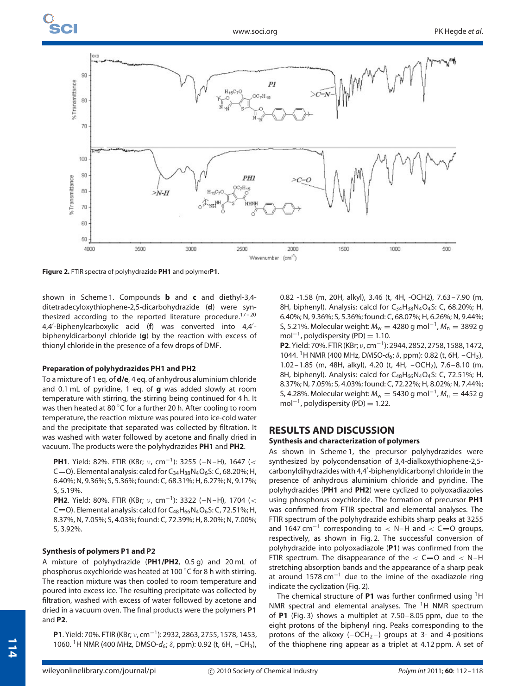

**Figure 2.** FTIR spectra of polyhydrazide **PH1** and polymer**P1**.

shown in Scheme 1. Compounds **b** and **c** and diethyl-3,4 ditetradecyloxythiophene-2,5-dicarbohydrazide (**d**) were synthesized according to the reported literature procedure.<sup>17-20</sup> 4,4 -Biphenylcarboxylic acid (**f**) was converted into 4,4 biphenyldicarbonyl chloride (**g**) by the reaction with excess of thionyl chloride in the presence of a few drops of DMF.

# **Preparation of polyhydrazides PH1 and PH2**

To a mixture of 1 eq. of **d/e**, 4 eq. of anhydrous aluminium chloride and 0.1 mL of pyridine, 1 eq. of **g** was added slowly at room temperature with stirring, the stirring being continued for 4 h. It was then heated at 80 °C for a further 20 h. After cooling to room temperature, the reaction mixture was poured into ice-cold water and the precipitate that separated was collected by filtration. It was washed with water followed by acetone and finally dried in vacuum. The products were the polyhydrazides **PH1** and **PH2**.

**PH1**. Yield: 82%. FTIR (KBr; *ν*, cm<sup>−</sup>1): 3255 (–N–H), 1647 (*<* C=O). Elemental analysis: calcd for  $C_{34}H_{38}N_4O_6S$ : C, 68.20%; H, 6.40%; N, 9.36%; S, 5.36%; found: C, 68.31%; H, 6.27%; N, 9.17%; S, 5.19%.

**PH2**. Yield: 80%. FTIR (KBr; *ν*, cm<sup>−</sup>1): 3322 (–N–H), 1704 (*<* C=O). Elemental analysis: calcd for  $C_{48}H_{66}N_4O_6S$ : C, 72.51%; H, 8.37%, N, 7.05%; S, 4.03%; found: C, 72.39%; H, 8.20%; N, 7.00%; S, 3.92%.

# **Synthesis of polymers P1 and P2**

A mixture of polyhydrazide (**PH1/PH2**, 0.5 g) and 20 mL of phosphorus oxychloride was heated at 100 °C for 8 h with stirring. The reaction mixture was then cooled to room temperature and poured into excess ice. The resulting precipitate was collected by filtration, washed with excess of water followed by acetone and dried in a vacuum oven. The final products were the polymers **P1** and **P2**.

**P1**. Yield: 70%. FTIR (KBr; *ν*, cm<sup>−</sup>1): 2932, 2863, 2755, 1578, 1453, 1060. 1H NMR (400 MHz, DMSO-*d*6; *δ*, ppm): 0.92 (t, 6H, –CH3), 0.82 -1.58 (m, 20H, alkyl), 3.46 (t, 4H, -OCH2), 7.63–7.90 (m, 8H, biphenyl). Analysis: calcd for C<sub>34</sub>H<sub>38</sub>N<sub>4</sub>O<sub>4</sub>S: C, 68.20%; H, 6.40%; N, 9.36%; S, 5.36%; found: C, 68.07%; H, 6.26%; N, 9.44%; S, 5.21%. Molecular weight: *M*<sub>w</sub> = 4280 g mol<sup>-1</sup>, *M*<sub>n</sub> = 3892 g mol<sup>-1</sup>, polydispersity (PD) = 1.10.

**P2**. Yield: 70%. FTIR (KBr; *ν*, cm<sup>−</sup>1): 2944, 2852, 2758, 1588, 1472, 1044. <sup>1</sup>H NMR (400 MHz, DMSO-d<sub>6</sub>; δ, ppm): 0.82 (t, 6H, -CH<sub>3</sub>), 1.02–1.85 (m, 48H, alkyl), 4.20 (t, 4H, –OCH2), 7.6–8.10 (m, 8H, biphenyl). Analysis: calcd for  $C_{48}H_{66}N_4O_4S$ : C, 72.51%; H, 8.37%; N, 7.05%; S, 4.03%; found: C, 72.22%; H, 8.02%; N, 7.44%; S, 4.28%. Molecular weight: *M*<sub>w</sub> = 5430 g mol<sup>-1</sup>, *M*<sub>n</sub> = 4452 g mol<sup>-1</sup>, polydispersity (PD) = 1.22.

# **RESULTS AND DISCUSSION**

### **Synthesis and characterization of polymers**

As shown in Scheme 1, the precursor polyhydrazides were synthesized by polycondensation of 3,4-dialkoxythiophene-2,5 carbonyldihydrazides with 4,4 -biphenyldicarbonyl chloride in the presence of anhydrous aluminium chloride and pyridine. The polyhydrazides (**PH1** and **PH2**) were cyclized to polyoxadiazoles using phosphorus oxychloride. The formation of precursor **PH1** was confirmed from FTIR spectral and elemental analyses. The FTIR spectrum of the polyhydrazide exhibits sharp peaks at 3255 and 1647 cm<sup>-1</sup> corresponding to < N-H and < C=O groups, respectively, as shown in Fig. 2. The successful conversion of polyhydrazide into polyoxadiazole (**P1**) was confirmed from the FTIR spectrum. The disappearance of the  $\lt$  C=0 and  $\lt$  N-H stretching absorption bands and the appearance of a sharp peak at around 1578 cm<sup>-1</sup> due to the imine of the oxadiazole ring indicate the cyclization (Fig. 2).

The chemical structure of **P1** was further confirmed using 1H NMR spectral and elemental analyses. The  $1H$  NMR spectrum of **P1** (Fig. 3) shows a multiplet at 7.50–8.05 ppm, due to the eight protons of the biphenyl ring. Peaks corresponding to the protons of the alkoxy  $(-OCH<sub>2</sub>-)$  groups at 3- and 4-positions of the thiophene ring appear as a triplet at 4.12 ppm. A set of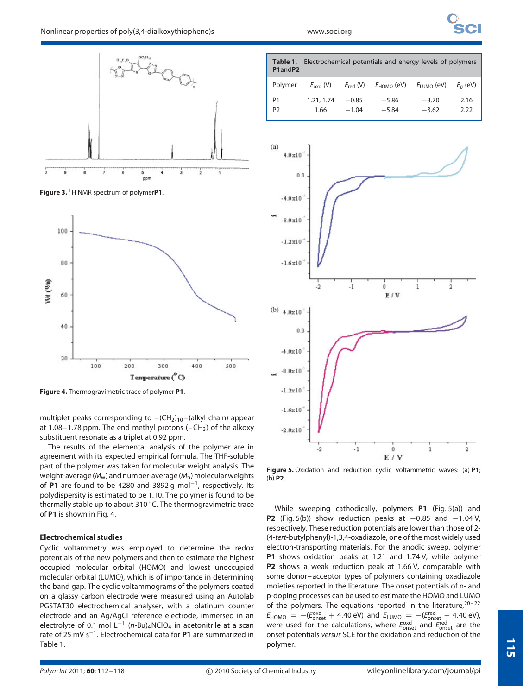

**Figure 3.** 1H NMR spectrum of polymer**P1**.



**Figure 4.** Thermogravimetric trace of polymer **P1**.

multiplet peaks corresponding to  $-(CH<sub>2</sub>)<sub>10</sub> - (alkyl chain)$  appear at 1.08–1.78 ppm. The end methyl protons  $(-CH_3)$  of the alkoxy substituent resonate as a triplet at 0.92 ppm.

The results of the elemental analysis of the polymer are in agreement with its expected empirical formula. The THF-soluble part of the polymer was taken for molecular weight analysis. The weight-average ( $M_w$ ) and number-average ( $M_n$ ) molecular weights of **P1** are found to be 4280 and 3892 g mol<sup>−</sup>1, respectively. Its polydispersity is estimated to be 1.10. The polymer is found to be .<br>thermally stable up to about 310 ℃. The thermogravimetric trace of **P1** is shown in Fig. 4.

#### **Electrochemical studies**

Cyclic voltammetry was employed to determine the redox potentials of the new polymers and then to estimate the highest occupied molecular orbital (HOMO) and lowest unoccupied molecular orbital (LUMO), which is of importance in determining the band gap. The cyclic voltammograms of the polymers coated on a glassy carbon electrode were measured using an Autolab PGSTAT30 electrochemical analyser, with a platinum counter electrode and an Ag/AgCl reference electrode, immersed in an electrolyte of 0.1 mol  $L^{-1}$  (*n*-Bu)<sub>4</sub>NClO<sub>4</sub> in acetonitrile at a scan rate of 25 mV s<sup>−</sup>1. Electrochemical data for **P1** are summarized in Table 1.





**Figure 5.** Oxidation and reduction cyclic voltammetric waves: (a) **P1**; (b) **P2**.

While sweeping cathodically, polymers **P1** (Fig. 5(a)) and **P2** (Fig. 5(b)) show reduction peaks at −0.85 and −1.04 V, respectively. These reduction potentials are lower than those of 2- (4-*tert*-butylphenyl)-1,3,4-oxadiazole, one of the most widely used electron-transporting materials. For the anodic sweep, polymer **P1** shows oxidation peaks at 1.21 and 1.74 V, while polymer **P2** shows a weak reduction peak at 1.66 V, comparable with some donor–acceptor types of polymers containing oxadiazole moieties reported in the literature. The onset potentials of n- and p-doping processes can be used to estimate the HOMO and LUMO of the polymers. The equations reported in the literature, $20 - 22$  $E_{\text{HOMO}} = - (E_{\text{onset}}^{\text{oxd}} + 4.40 \text{ eV})$  and  $E_{\text{LUMO}} = - (E_{\text{onset}}^{\text{red}} - 4.40 \text{ eV})$ , were used for the calculations, where  $E_{\text{onset}}^{\text{oxd}}$  and  $E_{\text{onset}}^{\text{red}}$  are the onset potentials *versus* SCE for the oxidation and reduction of the polymer.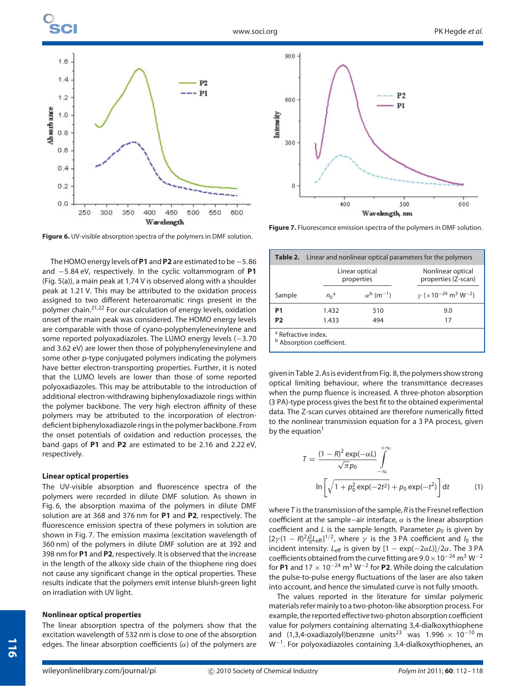

**Figure 6.** UV-visible absorption spectra of the polymers in DMF solution.

The HOMO energy levels of **P1** and **P2** are estimated to be−5*.*86 and −5*.*84 eV, respectively. In the cyclic voltammogram of **P1** (Fig. 5(a)), a main peak at 1.74 V is observed along with a shoulder peak at 1.21 V. This may be attributed to the oxidation process assigned to two different heteroaromatic rings present in the polymer chain.21,22 For our calculation of energy levels, oxidation onset of the main peak was considered. The HOMO energy levels are comparable with those of cyano-polyphenylenevinylene and some reported polyoxadiazoles. The LUMO energy levels (−3*.*70 and 3.62 eV) are lower then those of polyphenylenevinylene and some other p-type conjugated polymers indicating the polymers have better electron-transporting properties. Further, it is noted that the LUMO levels are lower than those of some reported polyoxadiazoles. This may be attributable to the introduction of additional electron-withdrawing biphenyloxadiazole rings within the polymer backbone. The very high electron affinity of these polymers may be attributed to the incorporation of electrondeficient biphenyloxadiazole rings in the polymer backbone. From the onset potentials of oxidation and reduction processes, the band gaps of **P1** and **P2** are estimated to be 2.16 and 2.22 eV, respectively.

#### **Linear optical properties**

The UV-visible absorption and fluorescence spectra of the polymers were recorded in dilute DMF solution. As shown in Fig. 6, the absorption maxima of the polymers in dilute DMF solution are at 368 and 376 nm for **P1** and **P2**, respectively. The fluorescence emission spectra of these polymers in solution are shown in Fig. 7. The emission maxima (excitation wavelength of 360 nm) of the polymers in dilute DMF solution are at 392 and 398 nm for **P1** and **P2**, respectively. It is observed that the increase in the length of the alkoxy side chain of the thiophene ring does not cause any significant change in the optical properties. These results indicate that the polymers emit intense bluish-green light on irradiation with UV light.

#### **Nonlinear optical properties**

The linear absorption spectra of the polymers show that the excitation wavelength of 532 nm is close to one of the absorption edges. The linear absorption coefficients (*α*) of the polymers are



**Figure 7.** Fluorescence emission spectra of the polymers in DMF solution.

| <b>Table 2.</b> Linear and nonlinear optical parameters for the polymers |                              |                                 |                                                                        |
|--------------------------------------------------------------------------|------------------------------|---------------------------------|------------------------------------------------------------------------|
|                                                                          | Linear optical<br>properties |                                 | Nonlinear optical<br>properties (Z-scan)                               |
| Sample                                                                   | $n_0$ <sup>a</sup>           | $\alpha^{b}$ (m <sup>-1</sup> ) | $\gamma$ ( $\times$ 10 <sup>-24</sup> m <sup>3</sup> W <sup>-2</sup> ) |
| P <sub>1</sub>                                                           | 1.432                        | 510                             | 9.0                                                                    |
| P <sub>2</sub>                                                           | 1.433                        | 494                             | 17                                                                     |
| <sup>a</sup> Refractive index.<br><sup>b</sup> Absorption coefficient.   |                              |                                 |                                                                        |

given in Table 2. As is evidentfrom Fig. 8, the polymers show strong optical limiting behaviour, where the transmittance decreases when the pump fluence is increased. A three-photon absorption (3 PA)-type process gives the best fit to the obtained experimental data. The Z-scan curves obtained are therefore numerically fitted to the nonlinear transmission equation for a 3 PA process, given by the equation $1$ 

$$
T = \frac{(1 - R)^2 \exp(-\alpha L)}{\sqrt{\pi}p_0} \int_{-\infty}^{+\infty}
$$
  
ln $\left[\sqrt{1 + p_0^2 \exp(-2t^2)} + p_0 \exp(-t^2)\right] dt$  (1)

where *T* is the transmission of the sample, *R* is the Fresnel reflection coefficient at the sample–air interface,  $\alpha$  is the linear absorption coefficient and *L* is the sample length. Parameter  $p_0$  is given by  $[2\gamma(1-R)^2l_0^2L_{\text{eff}}]^{1/2}$ , where  $\gamma$  is the 3 PA coefficient and  $l_0$  the incident intensity.  $L_{\text{eff}}$  is given by  $[1 - \exp(-2\alpha L)]/2\alpha$ . The 3 PA coefficients obtainedfrom the curve fitting are 9*.*0×10−<sup>24</sup> m<sup>3</sup> W−<sup>2</sup> for **P1** and  $17 \times 10^{-24}$  m<sup>3</sup> W<sup>-2</sup> for **P2**. While doing the calculation the pulse-to-pulse energy fluctuations of the laser are also taken into account, and hence the simulated curve is not fully smooth.

The values reported in the literature for similar polymeric materials refer mainly to a two-photon-like absorption process. For example, the reported effective two-photon absorption coefficient value for polymers containing alternating 3,4-dialkoxythiophene and  $(1,3,4$ -oxadiazolyl)benzene units<sup>23</sup> was 1.996 × 10<sup>-10</sup> m W<sup>−</sup>1. For polyoxadiazoles containing 3,4-dialkoxythiophenes, an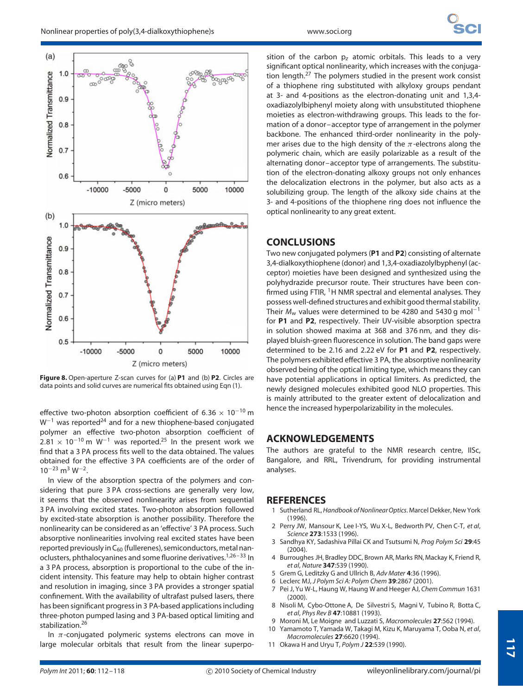$(a)$ 

**Vormalized Transmittance** 

 $(b)$ 

 $0.6$ 



Normalized Transmittance  $0.5$  $-5000$  $-10000$ 0 5000 10000 Z (micro meters) **Figure 8.** Open-aperture Z-scan curves for (a) **P1** and (b) **P2**. Circles are

data points and solid curves are numerical fits obtained using Eqn (1).

effective two-photon absorption coefficient of 6*.*36 × 10−<sup>10</sup> m W<sup>-1</sup> was reported<sup>24</sup> and for a new thiophene-based conjugated polymer an effective two-photon absorption coefficient of  $2.81 \times 10^{-10}$  m W<sup>-1</sup> was reported.<sup>25</sup> In the present work we find that a 3 PA process fits well to the data obtained. The values obtained for the effective 3 PA coefficients are of the order of 10−<sup>23</sup> m<sup>3</sup> W<sup>−</sup>2.

In view of the absorption spectra of the polymers and considering that pure 3 PA cross-sections are generally very low, it seems that the observed nonlinearity arises from sequential 3 PA involving excited states. Two-photon absorption followed by excited-state absorption is another possibility. Therefore the nonlinearity can be considered as an 'effective' 3 PA process. Such absorptive nonlinearities involving real excited states have been reported previously in  $C_{60}$  (fullerenes), semiconductors, metal nanoclusters, phthalocyanines and some fluorine derivatives.<sup>1,26-33</sup> In a 3 PA process, absorption is proportional to the cube of the incident intensity. This feature may help to obtain higher contrast and resolution in imaging, since 3 PA provides a stronger spatial confinement. With the availability of ultrafast pulsed lasers, there has been significant progress in 3 PA-based applications including three-photon pumped lasing and 3 PA-based optical limiting and stabilization.<sup>26</sup>

In *π*-conjugated polymeric systems electrons can move in large molecular orbitals that result from the linear superposition of the carbon p*<sup>z</sup>* atomic orbitals. This leads to a very significant optical nonlinearity, which increases with the conjugation length.<sup>27</sup> The polymers studied in the present work consist of a thiophene ring substituted with alkyloxy groups pendant at 3- and 4-positions as the electron-donating unit and 1,3,4 oxadiazolylbiphenyl moiety along with unsubstituted thiophene moieties as electron-withdrawing groups. This leads to the formation of a donor–acceptor type of arrangement in the polymer backbone. The enhanced third-order nonlinearity in the polymer arises due to the high density of the *π*-electrons along the polymeric chain, which are easily polarizable as a result of the alternating donor–acceptor type of arrangements. The substitution of the electron-donating alkoxy groups not only enhances the delocalization electrons in the polymer, but also acts as a solubilizing group. The length of the alkoxy side chains at the 3- and 4-positions of the thiophene ring does not influence the optical nonlinearity to any great extent.

# **CONCLUSIONS**

Two new conjugated polymers (**P1** and **P2**) consisting of alternate 3,4-dialkoxythiophene (donor) and 1,3,4-oxadiazolylbyphenyl (acceptor) moieties have been designed and synthesized using the polyhydrazide precursor route. Their structures have been confirmed using FTIR,  $1$ H NMR spectral and elemental analyses. They possess well-defined structures and exhibit good thermal stability. Their *M*<sub>w</sub> values were determined to be 4280 and 5430 g mol<sup>-1</sup> for **P1** and **P2**, respectively. Their UV-visible absorption spectra in solution showed maxima at 368 and 376 nm, and they displayed bluish-green fluorescence in solution. The band gaps were determined to be 2.16 and 2.22 eV for **P1** and **P2**, respectively. The polymers exhibited effective 3 PA, the absorptive nonlinearity observed being of the optical limiting type, which means they can have potential applications in optical limiters. As predicted, the newly designed molecules exhibited good NLO properties. This is mainly attributed to the greater extent of delocalization and hence the increased hyperpolarizability in the molecules.

# **ACKNOWLEDGEMENTS**

The authors are grateful to the NMR research centre, IISc, Bangalore, and RRL, Trivendrum, for providing instrumental analyses.

# **REFERENCES**

- 1 Sutherland RL,*Handbook of NonlinearOptics*. Marcel Dekker, New York (1996).
- 2 Perry JW, Mansour K, Lee I-YS, Wu X-L, Bedworth PV, Chen C-T, *et al*, *Science* **273**:1533 (1996).
- 3 Sandhya KY, Sadashiva Pillai CK and Tsutsumi N, *Prog Polym Sci* **29**:45  $(2004)$
- 4 Burroughes JH, Bradley DDC, Brown AR, Marks RN, Mackay K, Friend R, *et al*, *Nature* **347**:539 (1990).
- 5 Grem G, Leditzky G and Ullrich B, *Adv Mater* **4**:36 (1996).
- 6 Leclerc MJ, *J Polym Sci A: Polym Chem* **39**:2867 (2001).
- 7 Pei J, Yu W-L, Haung W, Haung W and Heeger AJ, *Chem Commun* 1631  $(2000)$
- 8 Nisoli M, Cybo-Ottone A, De Silvestri S, Magni V, Tubino R, Botta C, *et al*, *Phys Rev B* **47**:10881 (1993).
- 9 Moroni M, Le Moigne and Luzzati S, *Macromolecules* **27**:562 (1994). 10 Yamamoto T, Yamada W, Takagi M, Kizu K, Maruyama T, Ooba N, *et al*,
- *Macromolecules* **27**:6620 (1994).
- 11 Okawa H and Uryu T, *Polym J* **22**:539 (1990).